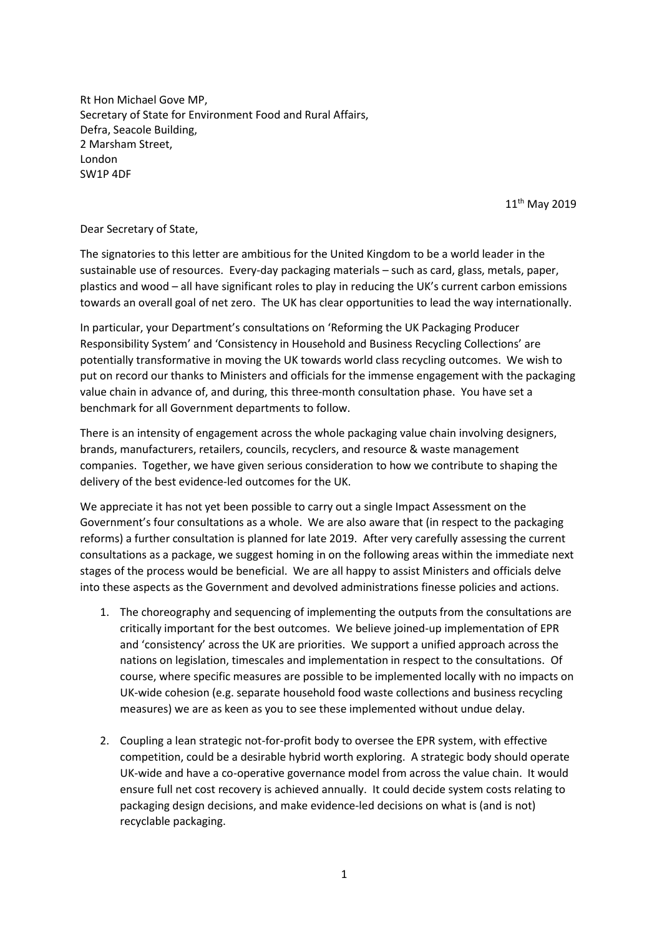Rt Hon Michael Gove MP, Secretary of State for Environment Food and Rural Affairs, Defra, Seacole Building, 2 Marsham Street, London SW1P 4DF

11<sup>th</sup> May 2019

Dear Secretary of State,

The signatories to this letter are ambitious for the United Kingdom to be a world leader in the sustainable use of resources. Every-day packaging materials – such as card, glass, metals, paper, plastics and wood – all have significant roles to play in reducing the UK's current carbon emissions towards an overall goal of net zero. The UK has clear opportunities to lead the way internationally.

In particular, your Department's consultations on 'Reforming the UK Packaging Producer Responsibility System' and 'Consistency in Household and Business Recycling Collections' are potentially transformative in moving the UK towards world class recycling outcomes. We wish to put on record our thanks to Ministers and officials for the immense engagement with the packaging value chain in advance of, and during, this three-month consultation phase. You have set a benchmark for all Government departments to follow.

There is an intensity of engagement across the whole packaging value chain involving designers, brands, manufacturers, retailers, councils, recyclers, and resource & waste management companies. Together, we have given serious consideration to how we contribute to shaping the delivery of the best evidence-led outcomes for the UK.

We appreciate it has not yet been possible to carry out a single Impact Assessment on the Government's four consultations as a whole. We are also aware that (in respect to the packaging reforms) a further consultation is planned for late 2019. After very carefully assessing the current consultations as a package, we suggest homing in on the following areas within the immediate next stages of the process would be beneficial. We are all happy to assist Ministers and officials delve into these aspects as the Government and devolved administrations finesse policies and actions.

- 1. The choreography and sequencing of implementing the outputs from the consultations are critically important for the best outcomes. We believe joined-up implementation of EPR and 'consistency' across the UK are priorities. We support a unified approach across the nations on legislation, timescales and implementation in respect to the consultations. Of course, where specific measures are possible to be implemented locally with no impacts on UK-wide cohesion (e.g. separate household food waste collections and business recycling measures) we are as keen as you to see these implemented without undue delay.
- 2. Coupling a lean strategic not-for-profit body to oversee the EPR system, with effective competition, could be a desirable hybrid worth exploring. A strategic body should operate UK-wide and have a co-operative governance model from across the value chain. It would ensure full net cost recovery is achieved annually. It could decide system costs relating to packaging design decisions, and make evidence-led decisions on what is (and is not) recyclable packaging.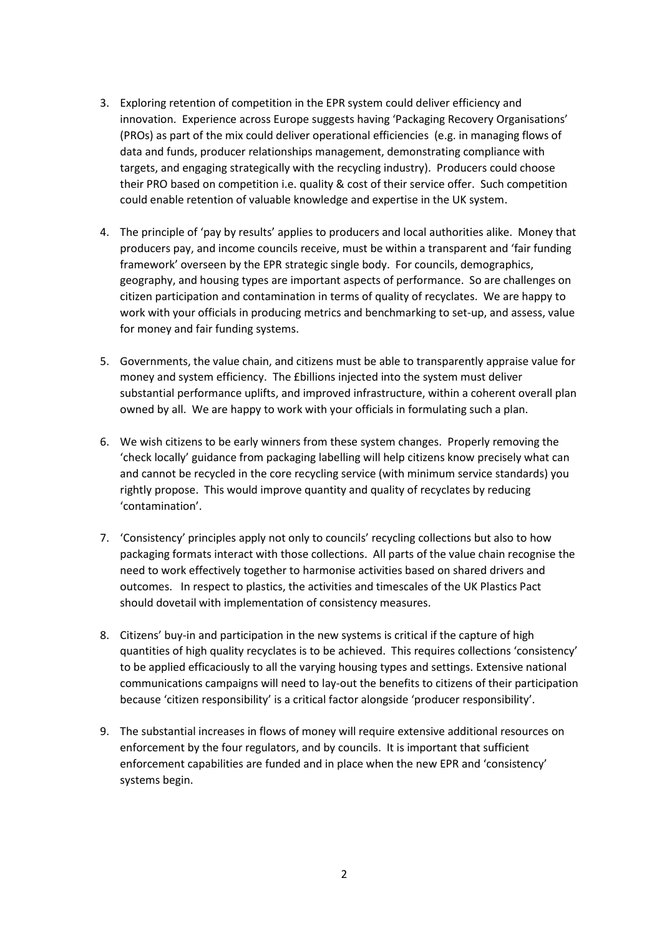- 3. Exploring retention of competition in the EPR system could deliver efficiency and innovation. Experience across Europe suggests having 'Packaging Recovery Organisations' (PROs) as part of the mix could deliver operational efficiencies (e.g. in managing flows of data and funds, producer relationships management, demonstrating compliance with targets, and engaging strategically with the recycling industry). Producers could choose their PRO based on competition i.e. quality & cost of their service offer. Such competition could enable retention of valuable knowledge and expertise in the UK system.
- 4. The principle of 'pay by results' applies to producers and local authorities alike. Money that producers pay, and income councils receive, must be within a transparent and 'fair funding framework' overseen by the EPR strategic single body. For councils, demographics, geography, and housing types are important aspects of performance. So are challenges on citizen participation and contamination in terms of quality of recyclates. We are happy to work with your officials in producing metrics and benchmarking to set-up, and assess, value for money and fair funding systems.
- 5. Governments, the value chain, and citizens must be able to transparently appraise value for money and system efficiency. The £billions injected into the system must deliver substantial performance uplifts, and improved infrastructure, within a coherent overall plan owned by all. We are happy to work with your officials in formulating such a plan.
- 6. We wish citizens to be early winners from these system changes. Properly removing the 'check locally' guidance from packaging labelling will help citizens know precisely what can and cannot be recycled in the core recycling service (with minimum service standards) you rightly propose. This would improve quantity and quality of recyclates by reducing 'contamination'.
- 7. 'Consistency' principles apply not only to councils' recycling collections but also to how packaging formats interact with those collections. All parts of the value chain recognise the need to work effectively together to harmonise activities based on shared drivers and outcomes. In respect to plastics, the activities and timescales of the UK Plastics Pact should dovetail with implementation of consistency measures.
- 8. Citizens' buy-in and participation in the new systems is critical if the capture of high quantities of high quality recyclates is to be achieved. This requires collections 'consistency' to be applied efficaciously to all the varying housing types and settings. Extensive national communications campaigns will need to lay-out the benefits to citizens of their participation because 'citizen responsibility' is a critical factor alongside 'producer responsibility'.
- 9. The substantial increases in flows of money will require extensive additional resources on enforcement by the four regulators, and by councils. It is important that sufficient enforcement capabilities are funded and in place when the new EPR and 'consistency' systems begin.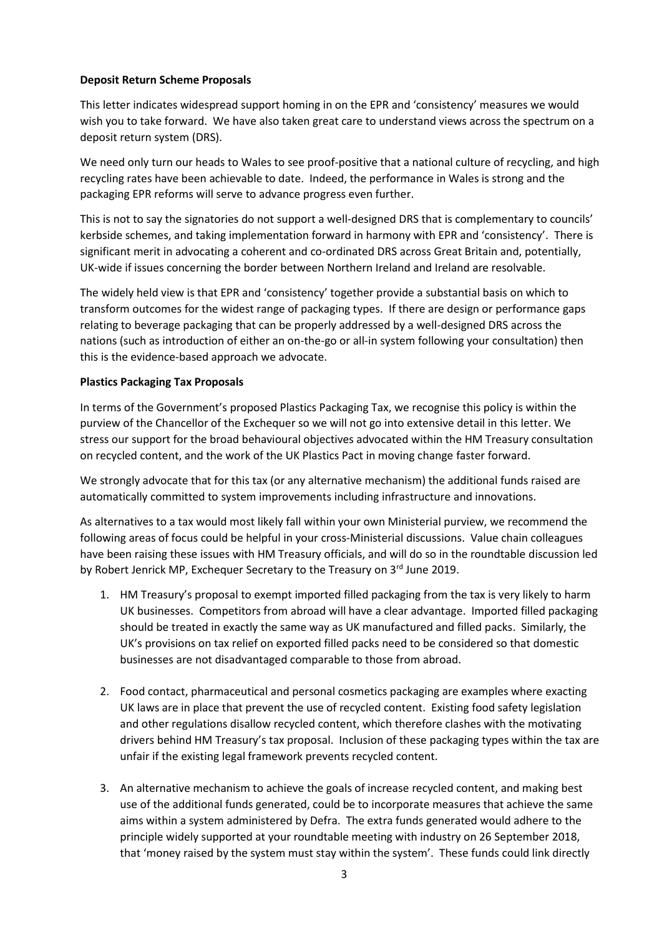## **Deposit Return Scheme Proposals**

This letter indicates widespread support homing in on the EPR and 'consistency' measures we would wish you to take forward. We have also taken great care to understand views across the spectrum on a deposit return system (DRS).

We need only turn our heads to Wales to see proof-positive that a national culture of recycling, and high recycling rates have been achievable to date. Indeed, the performance in Wales is strong and the packaging EPR reforms will serve to advance progress even further.

This is not to say the signatories do not support a well-designed DRS that is complementary to councils' kerbside schemes, and taking implementation forward in harmony with EPR and 'consistency'. There is significant merit in advocating a coherent and co-ordinated DRS across Great Britain and, potentially, UK-wide if issues concerning the border between Northern Ireland and Ireland are resolvable.

The widely held view is that EPR and 'consistency' together provide a substantial basis on which to transform outcomes for the widest range of packaging types. If there are design or performance gaps relating to beverage packaging that can be properly addressed by a well-designed DRS across the nations (such as introduction of either an on-the-go or all-in system following your consultation) then this is the evidence-based approach we advocate.

## **Plastics Packaging Tax Proposals**

In terms of the Government's proposed Plastics Packaging Tax, we recognise this policy is within the purview of the Chancellor of the Exchequer so we will not go into extensive detail in this letter. We stress our support for the broad behavioural objectives advocated within the HM Treasury consultation on recycled content, and the work of the UK Plastics Pact in moving change faster forward.

We strongly advocate that for this tax (or any alternative mechanism) the additional funds raised are automatically committed to system improvements including infrastructure and innovations.

As alternatives to a tax would most likely fall within your own Ministerial purview, we recommend the following areas of focus could be helpful in your cross-Ministerial discussions. Value chain colleagues have been raising these issues with HM Treasury officials, and will do so in the roundtable discussion led by Robert Jenrick MP, Exchequer Secretary to the Treasury on 3rd June 2019.

- 1. HM Treasury's proposal to exempt imported filled packaging from the tax is very likely to harm UK businesses. Competitors from abroad will have a clear advantage. Imported filled packaging should be treated in exactly the same way as UK manufactured and filled packs. Similarly, the UK's provisions on tax relief on exported filled packs need to be considered so that domestic businesses are not disadvantaged comparable to those from abroad.
- 2. Food contact, pharmaceutical and personal cosmetics packaging are examples where exacting UK laws are in place that prevent the use of recycled content. Existing food safety legislation and other regulations disallow recycled content, which therefore clashes with the motivating drivers behind HM Treasury's tax proposal. Inclusion of these packaging types within the tax are unfair if the existing legal framework prevents recycled content.
- 3. An alternative mechanism to achieve the goals of increase recycled content, and making best use of the additional funds generated, could be to incorporate measures that achieve the same aims within a system administered by Defra. The extra funds generated would adhere to the principle widely supported at your roundtable meeting with industry on 26 September 2018, that 'money raised by the system must stay within the system'. These funds could link directly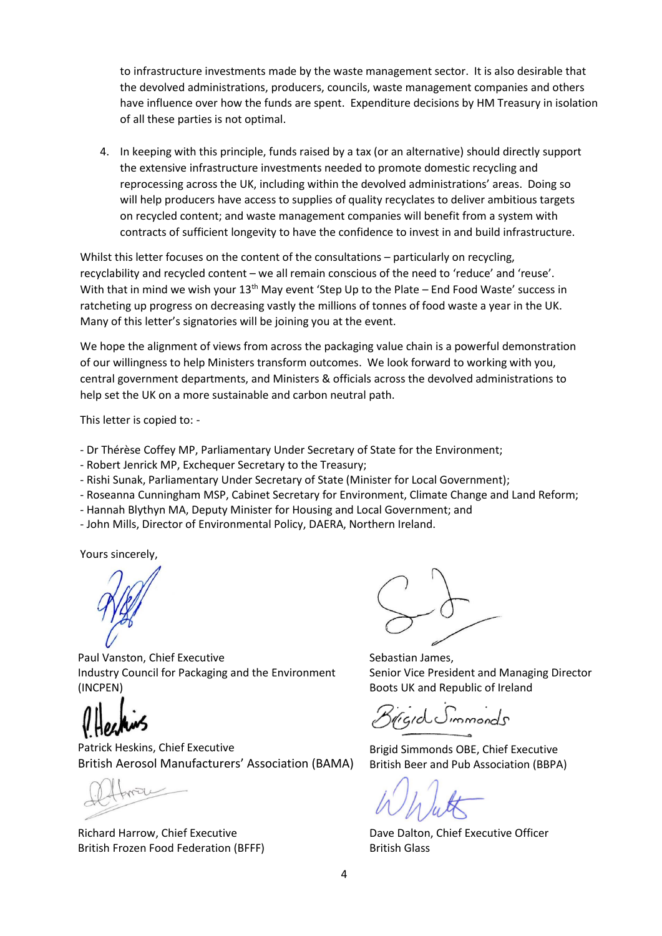to infrastructure investments made by the waste management sector. It is also desirable that the devolved administrations, producers, councils, waste management companies and others have influence over how the funds are spent. Expenditure decisions by HM Treasury in isolation of all these parties is not optimal.

4. In keeping with this principle, funds raised by a tax (or an alternative) should directly support the extensive infrastructure investments needed to promote domestic recycling and reprocessing across the UK, including within the devolved administrations' areas. Doing so will help producers have access to supplies of quality recyclates to deliver ambitious targets on recycled content; and waste management companies will benefit from a system with contracts of sufficient longevity to have the confidence to invest in and build infrastructure.

Whilst this letter focuses on the content of the consultations – particularly on recycling, recyclability and recycled content – we all remain conscious of the need to 'reduce' and 'reuse'. With that in mind we wish your 13<sup>th</sup> May event 'Step Up to the Plate – End Food Waste' success in ratcheting up progress on decreasing vastly the millions of tonnes of food waste a year in the UK. Many of this letter's signatories will be joining you at the event.

We hope the alignment of views from across the packaging value chain is a powerful demonstration of our willingness to help Ministers transform outcomes. We look forward to working with you, central government departments, and Ministers & officials across the devolved administrations to help set the UK on a more sustainable and carbon neutral path.

This letter is copied to: -

- Dr Thérèse Coffey MP, Parliamentary Under Secretary of State for the Environment;
- Robert Jenrick MP, Exchequer Secretary to the Treasury;
- Rishi Sunak, Parliamentary Under Secretary of State (Minister for Local Government);
- Roseanna Cunningham MSP, Cabinet Secretary for Environment, Climate Change and Land Reform;
- Hannah Blythyn MA, Deputy Minister for Housing and Local Government; and
- John Mills, Director of Environmental Policy, DAERA, Northern Ireland.

Yours sincerely,

Paul Vanston, Chief Executive Industry Council for Packaging and the Environment (INCPEN)

Patrick Heskins, Chief Executive British Aerosol Manufacturers' Association (BAMA)

Richard Harrow, Chief Executive British Frozen Food Federation (BFFF)

Sebastian James, Senior Vice President and Managing Director Boots UK and Republic of Ireland

*igid* Simmonds

Brigid Simmonds OBE, Chief Executive British Beer and Pub Association (BBPA)

Dave Dalton, Chief Executive Officer British Glass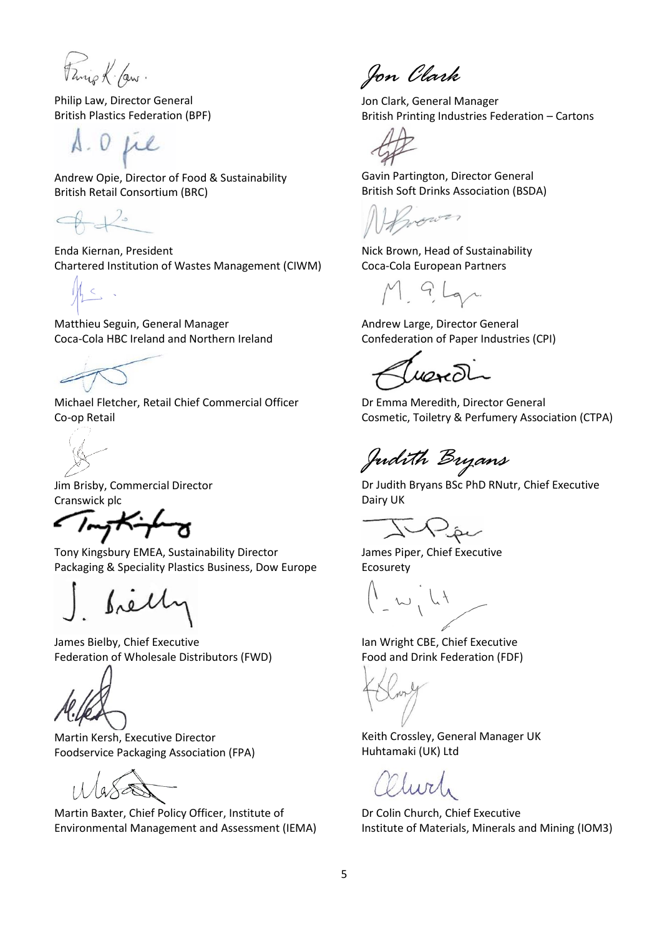Fanis K. Law.

Philip Law, Director General British Plastics Federation (BPF)

S.O. Lie

Andrew Opie, Director of Food & Sustainability British Retail Consortium (BRC)

 $42$ 

Enda Kiernan, President Chartered Institution of Wastes Management (CIWM)

Matthieu Seguin, General Manager Coca-Cola HBC Ireland and Northern Ireland

Michael Fletcher, Retail Chief Commercial Officer Co-op Retail

Jim Brisby, Commercial Director Cranswick plc

Trythingh

Tony Kingsbury EMEA, Sustainability Director Packaging & Speciality Plastics Business, Dow Europe

James Bielby, Chief Executive Federation of Wholesale Distributors (FWD)

Martin Kersh, Executive Director Foodservice Packaging Association (FPA)

Martin Baxter, Chief Policy Officer, Institute of Environmental Management and Assessment (IEMA)

*Jon Clark*

Jon Clark, General Manager British Printing Industries Federation – Cartons

Gavin Partington, Director General British Soft Drinks Association (BSDA)

wower

Nick Brown, Head of Sustainability Coca-Cola European Partners

M Glar

Andrew Large, Director General Confederation of Paper Industries (CPI)

 $\omega$ 

Dr Emma Meredith, Director General Cosmetic, Toiletry & Perfumery Association (CTPA)

*Judith Bryans*

Dr Judith Bryans BSc PhD RNutr, Chief Executive Dairy UK

James Piper, Chief Executive Ecosurety

Ian Wright CBE, Chief Executive Food and Drink Federation (FDF)

Keith Crossley, General Manager UK Huhtamaki (UK) Ltd

 $1157$ 

Dr Colin Church, Chief Executive Institute of Materials, Minerals and Mining (IOM3)